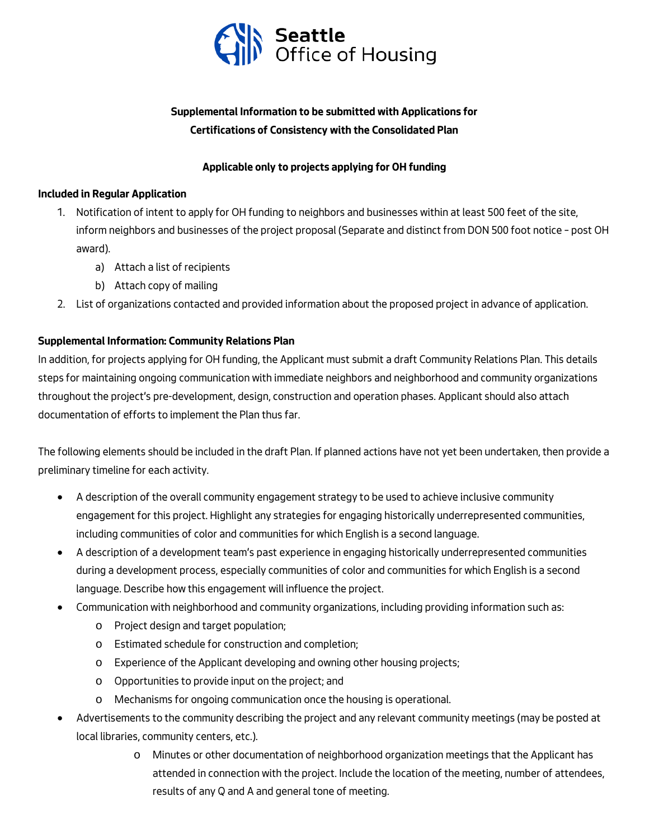

# **Supplemental Information to be submitted with Applications for Certifications of Consistency with the Consolidated Plan**

### **Applicable only to projects applying for OH funding**

#### **Included in Regular Application**

- 1. Notification of intent to apply for OH funding to neighbors and businesses within at least 500 feet of the site, inform neighbors and businesses of the project proposal (Separate and distinct from DON 500 foot notice – post OH award).
	- a) Attach a list of recipients
	- b) Attach copy of mailing
- 2. List of organizations contacted and provided information about the proposed project in advance of application.

## **Supplemental Information: Community Relations Plan**

In addition, for projects applying for OH funding, the Applicant must submit a draft Community Relations Plan. This details steps for maintaining ongoing communication with immediate neighbors and neighborhood and community organizations throughout the project's pre-development, design, construction and operation phases. Applicant should also attach documentation of efforts to implement the Plan thus far.

The following elements should be included in the draft Plan. If planned actions have not yet been undertaken, then provide a preliminary timeline for each activity.

- A description of the overall community engagement strategy to be used to achieve inclusive community engagement for this project. Highlight any strategies for engaging historically underrepresented communities, including communities of color and communities for which English is a second language.
- A description of a development team's past experience in engaging historically underrepresented communities during a development process, especially communities of color and communities for which English is a second language. Describe how this engagement will influence the project.
- Communication with neighborhood and community organizations, including providing information such as:
	- o Project design and target population;
	- o Estimated schedule for construction and completion;
	- o Experience of the Applicant developing and owning other housing projects;
	- o Opportunities to provide input on the project; and
	- o Mechanisms for ongoing communication once the housing is operational.
- Advertisements to the community describing the project and any relevant community meetings (may be posted at local libraries, community centers, etc.).
	- $\circ$  Minutes or other documentation of neighborhood organization meetings that the Applicant has attended in connection with the project. Include the location of the meeting, number of attendees, results of any Q and A and general tone of meeting.